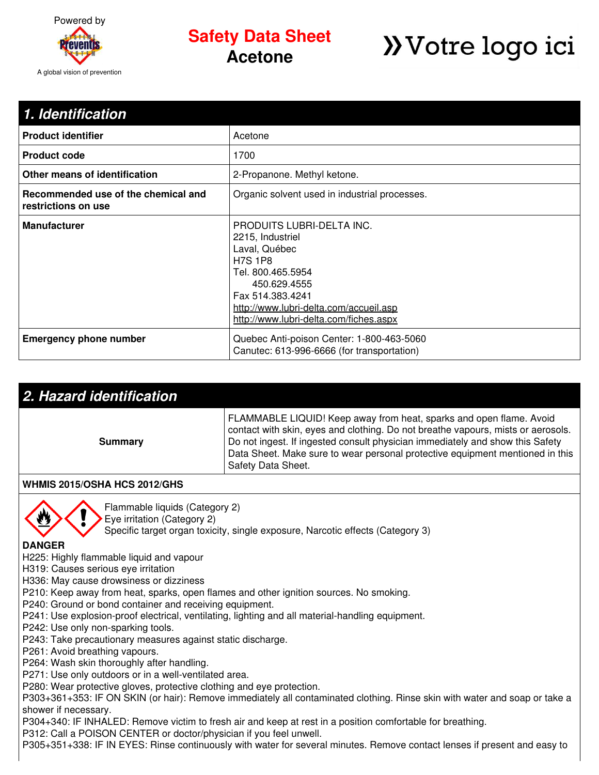

## **Safety Data Sheet Acetone**

# **>>**Votre logo ici

| 1. Identification                                          |                                                                                                                                                                                                                               |
|------------------------------------------------------------|-------------------------------------------------------------------------------------------------------------------------------------------------------------------------------------------------------------------------------|
| <b>Product identifier</b>                                  | Acetone                                                                                                                                                                                                                       |
| <b>Product code</b>                                        | 1700                                                                                                                                                                                                                          |
| Other means of identification                              | 2-Propanone. Methyl ketone.                                                                                                                                                                                                   |
| Recommended use of the chemical and<br>restrictions on use | Organic solvent used in industrial processes.                                                                                                                                                                                 |
| <b>Manufacturer</b>                                        | PRODUITS LUBRI-DELTA INC.<br>2215, Industriel<br>Laval, Québec<br><b>H7S 1P8</b><br>Tel. 800.465.5954<br>450.629.4555<br>Fax 514.383.4241<br>http://www.lubri-delta.com/accueil.asp<br>http://www.lubri-delta.com/fiches.aspx |
| <b>Emergency phone number</b>                              | Quebec Anti-poison Center: 1-800-463-5060<br>Canutec: 613-996-6666 (for transportation)                                                                                                                                       |

| 2. Hazard identification |                                                                                                                                                                                                                                                                                                                                                 |  |
|--------------------------|-------------------------------------------------------------------------------------------------------------------------------------------------------------------------------------------------------------------------------------------------------------------------------------------------------------------------------------------------|--|
| Summary                  | FLAMMABLE LIQUID! Keep away from heat, sparks and open flame. Avoid<br>contact with skin, eyes and clothing. Do not breathe vapours, mists or aerosols.<br>Do not ingest. If ingested consult physician immediately and show this Safety<br>Data Sheet. Make sure to wear personal protective equipment mentioned in this<br>Safety Data Sheet. |  |
|                          |                                                                                                                                                                                                                                                                                                                                                 |  |

#### **WHMIS 2015/OSHA HCS 2012/GHS**



Flammable liquids (Category 2)

Eye irritation (Category 2)

Specific target organ toxicity, single exposure, Narcotic effects (Category 3)

#### **DANGER**

H225: Highly flammable liquid and vapour

H319: Causes serious eye irritation

H336: May cause drowsiness or dizziness

P210: Keep away from heat, sparks, open flames and other ignition sources. No smoking.

P240: Ground or bond container and receiving equipment.

- P241: Use explosion-proof electrical, ventilating, lighting and all material-handling equipment.
- P242: Use only non-sparking tools.
- P243: Take precautionary measures against static discharge.

P261: Avoid breathing vapours.

P264: Wash skin thoroughly after handling.

P271: Use only outdoors or in a well-ventilated area.

P280: Wear protective gloves, protective clothing and eye protection.

P303+361+353: IF ON SKIN (or hair): Remove immediately all contaminated clothing. Rinse skin with water and soap or take a shower if necessary.

P304+340: IF INHALED: Remove victim to fresh air and keep at rest in a position comfortable for breathing.

P312: Call a POISON CENTER or doctor/physician if you feel unwell.

P305+351+338: IF IN EYES: Rinse continuously with water for several minutes. Remove contact lenses if present and easy to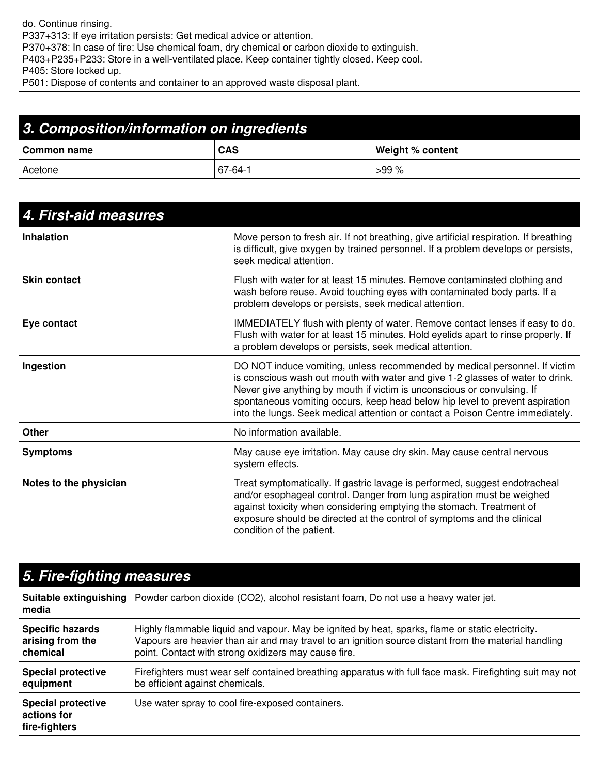do. Continue rinsing. P337+313: If eye irritation persists: Get medical advice or attention. P370+378: In case of fire: Use chemical foam, dry chemical or carbon dioxide to extinguish. P403+P235+P233: Store in a well-ventilated place. Keep container tightly closed. Keep cool. P405: Store locked up.

P501: Dispose of contents and container to an approved waste disposal plant.

| 3. Composition/information on ingredients |            |                  |  |
|-------------------------------------------|------------|------------------|--|
| l Common name                             | <b>CAS</b> | Weight % content |  |
| Acetone                                   | 67-64-1    | $>99\%$          |  |

| 4. First-aid measures  |                                                                                                                                                                                                                                                                                                                                                                                                           |
|------------------------|-----------------------------------------------------------------------------------------------------------------------------------------------------------------------------------------------------------------------------------------------------------------------------------------------------------------------------------------------------------------------------------------------------------|
| <b>Inhalation</b>      | Move person to fresh air. If not breathing, give artificial respiration. If breathing<br>is difficult, give oxygen by trained personnel. If a problem develops or persists,<br>seek medical attention.                                                                                                                                                                                                    |
| <b>Skin contact</b>    | Flush with water for at least 15 minutes. Remove contaminated clothing and<br>wash before reuse. Avoid touching eyes with contaminated body parts. If a<br>problem develops or persists, seek medical attention.                                                                                                                                                                                          |
| Eye contact            | IMMEDIATELY flush with plenty of water. Remove contact lenses if easy to do.<br>Flush with water for at least 15 minutes. Hold eyelids apart to rinse properly. If<br>a problem develops or persists, seek medical attention.                                                                                                                                                                             |
| Ingestion              | DO NOT induce vomiting, unless recommended by medical personnel. If victim<br>is conscious wash out mouth with water and give 1-2 glasses of water to drink.<br>Never give anything by mouth if victim is unconscious or convulsing. If<br>spontaneous vomiting occurs, keep head below hip level to prevent aspiration<br>into the lungs. Seek medical attention or contact a Poison Centre immediately. |
| <b>Other</b>           | No information available.                                                                                                                                                                                                                                                                                                                                                                                 |
| <b>Symptoms</b>        | May cause eye irritation. May cause dry skin. May cause central nervous<br>system effects.                                                                                                                                                                                                                                                                                                                |
| Notes to the physician | Treat symptomatically. If gastric lavage is performed, suggest endotracheal<br>and/or esophageal control. Danger from lung aspiration must be weighed<br>against toxicity when considering emptying the stomach. Treatment of<br>exposure should be directed at the control of symptoms and the clinical<br>condition of the patient.                                                                     |

| 5. Fire-fighting measures                                 |                                                                                                                                                                                                                                                                  |  |
|-----------------------------------------------------------|------------------------------------------------------------------------------------------------------------------------------------------------------------------------------------------------------------------------------------------------------------------|--|
| media                                                     | Suitable extinguishing   Powder carbon dioxide (CO2), alcohol resistant foam, Do not use a heavy water jet.                                                                                                                                                      |  |
| <b>Specific hazards</b><br>arising from the<br>chemical   | Highly flammable liquid and vapour. May be ignited by heat, sparks, flame or static electricity.<br>Vapours are heavier than air and may travel to an ignition source distant from the material handling<br>point. Contact with strong oxidizers may cause fire. |  |
| <b>Special protective</b><br>equipment                    | Firefighters must wear self contained breathing apparatus with full face mask. Firefighting suit may not<br>be efficient against chemicals.                                                                                                                      |  |
| <b>Special protective</b><br>actions for<br>fire-fighters | Use water spray to cool fire-exposed containers.                                                                                                                                                                                                                 |  |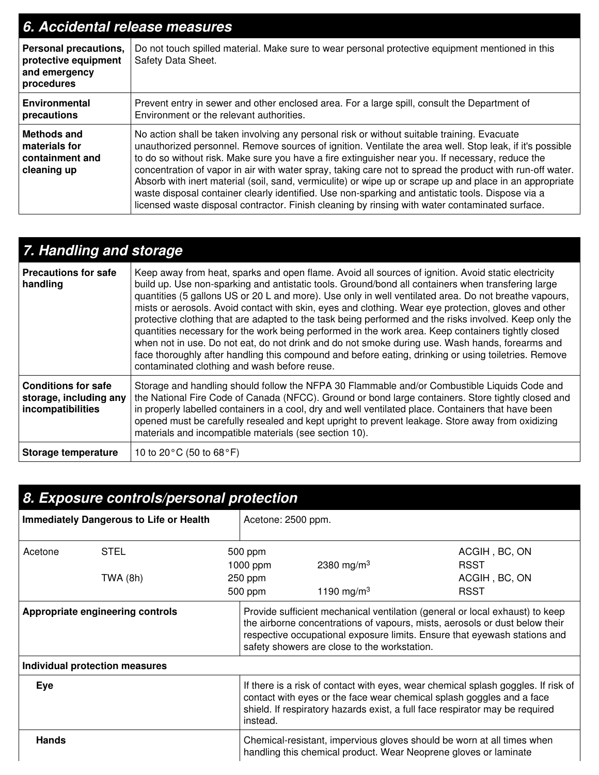| 6. Accidental release measures                                                      |                                                                                                                                                                                                                                                                                                                                                                                                                                                                                                                                                                                                                                                                                                                                              |  |
|-------------------------------------------------------------------------------------|----------------------------------------------------------------------------------------------------------------------------------------------------------------------------------------------------------------------------------------------------------------------------------------------------------------------------------------------------------------------------------------------------------------------------------------------------------------------------------------------------------------------------------------------------------------------------------------------------------------------------------------------------------------------------------------------------------------------------------------------|--|
| <b>Personal precautions,</b><br>protective equipment<br>and emergency<br>procedures | Do not touch spilled material. Make sure to wear personal protective equipment mentioned in this<br>Safety Data Sheet.                                                                                                                                                                                                                                                                                                                                                                                                                                                                                                                                                                                                                       |  |
| <b>Environmental</b><br>precautions                                                 | Prevent entry in sewer and other enclosed area. For a large spill, consult the Department of<br>Environment or the relevant authorities.                                                                                                                                                                                                                                                                                                                                                                                                                                                                                                                                                                                                     |  |
| <b>Methods and</b><br>materials for<br>containment and<br>cleaning up               | No action shall be taken involving any personal risk or without suitable training. Evacuate<br>unauthorized personnel. Remove sources of ignition. Ventilate the area well. Stop leak, if it's possible<br>to do so without risk. Make sure you have a fire extinguisher near you. If necessary, reduce the<br>concentration of vapor in air with water spray, taking care not to spread the product with run-off water.<br>Absorb with inert material (soil, sand, vermiculite) or wipe up or scrape up and place in an appropriate<br>waste disposal container clearly identified. Use non-sparking and antistatic tools. Dispose via a<br>licensed waste disposal contractor. Finish cleaning by rinsing with water contaminated surface. |  |

## *7. Handling and storage*

| <b>Precautions for safe</b><br>handling                                   | Keep away from heat, sparks and open flame. Avoid all sources of ignition. Avoid static electricity<br>build up. Use non-sparking and antistatic tools. Ground/bond all containers when transfering large<br>quantities (5 gallons US or 20 L and more). Use only in well ventilated area. Do not breathe vapours,<br>mists or aerosols. Avoid contact with skin, eyes and clothing. Wear eye protection, gloves and other<br>protective clothing that are adapted to the task being performed and the risks involved. Keep only the<br>quantities necessary for the work being performed in the work area. Keep containers tightly closed<br>when not in use. Do not eat, do not drink and do not smoke during use. Wash hands, forearms and<br>face thoroughly after handling this compound and before eating, drinking or using toiletries. Remove<br>contaminated clothing and wash before reuse. |
|---------------------------------------------------------------------------|-------------------------------------------------------------------------------------------------------------------------------------------------------------------------------------------------------------------------------------------------------------------------------------------------------------------------------------------------------------------------------------------------------------------------------------------------------------------------------------------------------------------------------------------------------------------------------------------------------------------------------------------------------------------------------------------------------------------------------------------------------------------------------------------------------------------------------------------------------------------------------------------------------|
| <b>Conditions for safe</b><br>storage, including any<br>incompatibilities | Storage and handling should follow the NFPA 30 Flammable and/or Combustible Liquids Code and<br>the National Fire Code of Canada (NFCC). Ground or bond large containers. Store tightly closed and<br>in properly labelled containers in a cool, dry and well ventilated place. Containers that have been<br>opened must be carefully resealed and kept upright to prevent leakage. Store away from oxidizing<br>materials and incompatible materials (see section 10).                                                                                                                                                                                                                                                                                                                                                                                                                               |
| Storage temperature                                                       | 10 to 20 $\degree$ C (50 to 68 $\degree$ F)                                                                                                                                                                                                                                                                                                                                                                                                                                                                                                                                                                                                                                                                                                                                                                                                                                                           |

| 8. Exposure controls/personal protection                                                                                                                   |                                |                                                                                                                                                                                                                                                        |                                                                                                                                                                                                                                                                                          |                                                  |                                                              |
|------------------------------------------------------------------------------------------------------------------------------------------------------------|--------------------------------|--------------------------------------------------------------------------------------------------------------------------------------------------------------------------------------------------------------------------------------------------------|------------------------------------------------------------------------------------------------------------------------------------------------------------------------------------------------------------------------------------------------------------------------------------------|--------------------------------------------------|--------------------------------------------------------------|
| <b>Immediately Dangerous to Life or Health</b>                                                                                                             |                                |                                                                                                                                                                                                                                                        | Acetone: 2500 ppm.                                                                                                                                                                                                                                                                       |                                                  |                                                              |
| Acetone                                                                                                                                                    | <b>STEL</b><br>TWA (8h)        |                                                                                                                                                                                                                                                        | 500 ppm<br>1000 ppm<br>250 ppm<br>500 ppm                                                                                                                                                                                                                                                | 2380 mg/m <sup>3</sup><br>1190 mg/m <sup>3</sup> | ACGIH, BC, ON<br><b>RSST</b><br>ACGIH, BC, ON<br><b>RSST</b> |
| Appropriate engineering controls                                                                                                                           |                                |                                                                                                                                                                                                                                                        | Provide sufficient mechanical ventilation (general or local exhaust) to keep<br>the airborne concentrations of vapours, mists, aerosols or dust below their<br>respective occupational exposure limits. Ensure that eyewash stations and<br>safety showers are close to the workstation. |                                                  |                                                              |
|                                                                                                                                                            | Individual protection measures |                                                                                                                                                                                                                                                        |                                                                                                                                                                                                                                                                                          |                                                  |                                                              |
| Eye                                                                                                                                                        |                                | If there is a risk of contact with eyes, wear chemical splash goggles. If risk of<br>contact with eyes or the face wear chemical splash goggles and a face<br>shield. If respiratory hazards exist, a full face respirator may be required<br>instead. |                                                                                                                                                                                                                                                                                          |                                                  |                                                              |
| <b>Hands</b><br>Chemical-resistant, impervious gloves should be worn at all times when<br>handling this chemical product. Wear Neoprene gloves or laminate |                                |                                                                                                                                                                                                                                                        |                                                                                                                                                                                                                                                                                          |                                                  |                                                              |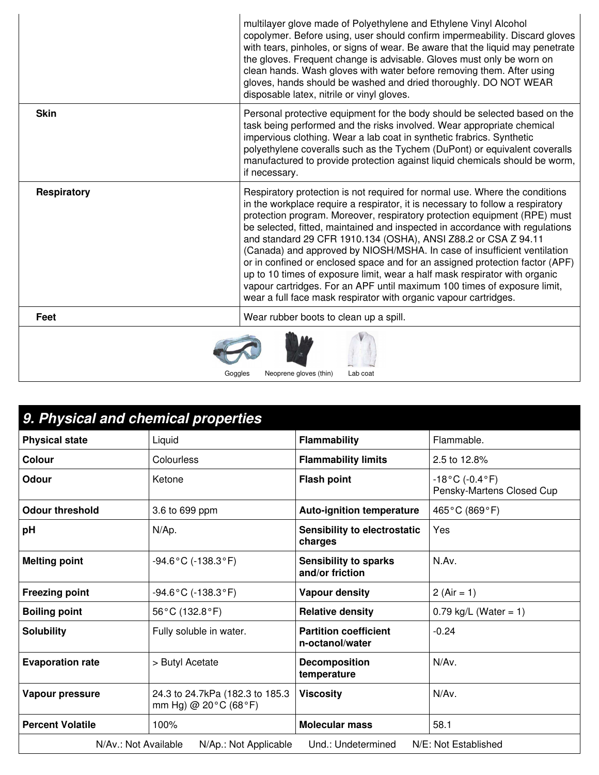|                                               | multilayer glove made of Polyethylene and Ethylene Vinyl Alcohol<br>copolymer. Before using, user should confirm impermeability. Discard gloves<br>with tears, pinholes, or signs of wear. Be aware that the liquid may penetrate<br>the gloves. Frequent change is advisable. Gloves must only be worn on<br>clean hands. Wash gloves with water before removing them. After using<br>gloves, hands should be washed and dried thoroughly. DO NOT WEAR<br>disposable latex, nitrile or vinyl gloves.                                                                                                                                                                                                                                                                                  |
|-----------------------------------------------|----------------------------------------------------------------------------------------------------------------------------------------------------------------------------------------------------------------------------------------------------------------------------------------------------------------------------------------------------------------------------------------------------------------------------------------------------------------------------------------------------------------------------------------------------------------------------------------------------------------------------------------------------------------------------------------------------------------------------------------------------------------------------------------|
| <b>Skin</b>                                   | Personal protective equipment for the body should be selected based on the<br>task being performed and the risks involved. Wear appropriate chemical<br>impervious clothing. Wear a lab coat in synthetic frabrics. Synthetic<br>polyethylene coveralls such as the Tychem (DuPont) or equivalent coveralls<br>manufactured to provide protection against liquid chemicals should be worm,<br>if necessary.                                                                                                                                                                                                                                                                                                                                                                            |
| <b>Respiratory</b>                            | Respiratory protection is not required for normal use. Where the conditions<br>in the workplace require a respirator, it is necessary to follow a respiratory<br>protection program. Moreover, respiratory protection equipment (RPE) must<br>be selected, fitted, maintained and inspected in accordance with regulations<br>and standard 29 CFR 1910.134 (OSHA), ANSI Z88.2 or CSA Z 94.11<br>(Canada) and approved by NIOSH/MSHA. In case of insufficient ventilation<br>or in confined or enclosed space and for an assigned protection factor (APF)<br>up to 10 times of exposure limit, wear a half mask respirator with organic<br>vapour cartridges. For an APF until maximum 100 times of exposure limit,<br>wear a full face mask respirator with organic vapour cartridges. |
| Feet                                          | Wear rubber boots to clean up a spill.                                                                                                                                                                                                                                                                                                                                                                                                                                                                                                                                                                                                                                                                                                                                                 |
| Neoprene gloves (thin)<br>Lab coat<br>Goaales |                                                                                                                                                                                                                                                                                                                                                                                                                                                                                                                                                                                                                                                                                                                                                                                        |

| 9. Physical and chemical properties                                                         |                                                                              |                                                 |                                                |
|---------------------------------------------------------------------------------------------|------------------------------------------------------------------------------|-------------------------------------------------|------------------------------------------------|
| <b>Physical state</b>                                                                       | Liquid                                                                       | <b>Flammability</b>                             | Flammable.                                     |
| <b>Colour</b>                                                                               | Colourless                                                                   | <b>Flammability limits</b>                      | 2.5 to 12.8%                                   |
| <b>Odour</b>                                                                                | Ketone                                                                       | <b>Flash point</b>                              | $-18$ °C (-0.4°F)<br>Pensky-Martens Closed Cup |
| <b>Odour threshold</b>                                                                      | 3.6 to 699 ppm                                                               | <b>Auto-ignition temperature</b>                | 465°C (869°F)                                  |
| pH                                                                                          | N/Ap.                                                                        | Sensibility to electrostatic<br>charges         | Yes                                            |
| <b>Melting point</b>                                                                        | $-94.6$ °C (-138.3°F)                                                        | <b>Sensibility to sparks</b><br>and/or friction | N.Av.                                          |
| <b>Freezing point</b>                                                                       | $-94.6$ °C (-138.3°F)                                                        | <b>Vapour density</b>                           | 2 (Air = 1)                                    |
| <b>Boiling point</b>                                                                        | 56°C (132.8°F)                                                               | <b>Relative density</b>                         | $0.79$ kg/L (Water = 1)                        |
| <b>Solubility</b>                                                                           | Fully soluble in water.                                                      | <b>Partition coefficient</b><br>n-octanol/water | $-0.24$                                        |
| <b>Evaporation rate</b>                                                                     | > Butyl Acetate                                                              | <b>Decomposition</b><br>temperature             | $N/Av$ .                                       |
| Vapour pressure                                                                             | 24.3 to 24.7kPa (182.3 to 185.3<br>mm Hg) @ $20^{\circ}$ C (68 $^{\circ}$ F) | <b>Viscosity</b>                                | N/Av.                                          |
| <b>Percent Volatile</b>                                                                     | 100%                                                                         | <b>Molecular mass</b>                           | 58.1                                           |
| Und.: Undetermined<br>N/E: Not Established<br>N/Av.: Not Available<br>N/Ap.: Not Applicable |                                                                              |                                                 |                                                |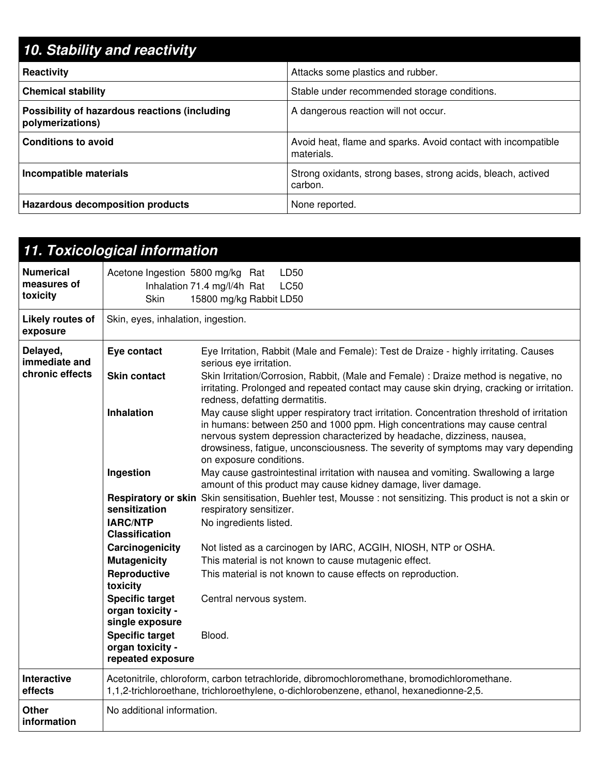| 10. Stability and reactivity                                      |                                                                             |
|-------------------------------------------------------------------|-----------------------------------------------------------------------------|
| Reactivity                                                        | Attacks some plastics and rubber.                                           |
| <b>Chemical stability</b>                                         | Stable under recommended storage conditions.                                |
| Possibility of hazardous reactions (including<br>polymerizations) | A dangerous reaction will not occur.                                        |
| <b>Conditions to avoid</b>                                        | Avoid heat, flame and sparks. Avoid contact with incompatible<br>materials. |
| Incompatible materials                                            | Strong oxidants, strong bases, strong acids, bleach, actived<br>carbon.     |
| <b>Hazardous decomposition products</b>                           | None reported.                                                              |

|                                              | 11. Toxicological information                                                                                             |                                                                                                                                                                                                                                                                                                                                                                                                       |  |  |  |
|----------------------------------------------|---------------------------------------------------------------------------------------------------------------------------|-------------------------------------------------------------------------------------------------------------------------------------------------------------------------------------------------------------------------------------------------------------------------------------------------------------------------------------------------------------------------------------------------------|--|--|--|
| <b>Numerical</b><br>measures of<br>toxicity  | Acetone Ingestion 5800 mg/kg Rat<br>LD50<br>Inhalation 71.4 mg/l/4h Rat<br><b>LC50</b><br>15800 mg/kg Rabbit LD50<br>Skin |                                                                                                                                                                                                                                                                                                                                                                                                       |  |  |  |
| Likely routes of<br>exposure                 | Skin, eyes, inhalation, ingestion.                                                                                        |                                                                                                                                                                                                                                                                                                                                                                                                       |  |  |  |
| Delayed,<br>immediate and<br>chronic effects | Eye contact<br><b>Skin contact</b>                                                                                        | Eye Irritation, Rabbit (Male and Female): Test de Draize - highly irritating. Causes<br>serious eye irritation.<br>Skin Irritation/Corrosion, Rabbit, (Male and Female) : Draize method is negative, no<br>irritating. Prolonged and repeated contact may cause skin drying, cracking or irritation.                                                                                                  |  |  |  |
|                                              | Inhalation                                                                                                                | redness, defatting dermatitis.<br>May cause slight upper respiratory tract irritation. Concentration threshold of irritation<br>in humans: between 250 and 1000 ppm. High concentrations may cause central<br>nervous system depression characterized by headache, dizziness, nausea,<br>drowsiness, fatigue, unconsciousness. The severity of symptoms may vary depending<br>on exposure conditions. |  |  |  |
|                                              | Ingestion                                                                                                                 | May cause gastrointestinal irritation with nausea and vomiting. Swallowing a large<br>amount of this product may cause kidney damage, liver damage.                                                                                                                                                                                                                                                   |  |  |  |
|                                              | sensitization<br><b>IARC/NTP</b><br><b>Classification</b>                                                                 | Respiratory or skin Skin sensitisation, Buehler test, Mousse : not sensitizing. This product is not a skin or<br>respiratory sensitizer.<br>No ingredients listed.                                                                                                                                                                                                                                    |  |  |  |
|                                              | Carcinogenicity                                                                                                           | Not listed as a carcinogen by IARC, ACGIH, NIOSH, NTP or OSHA.                                                                                                                                                                                                                                                                                                                                        |  |  |  |
|                                              | <b>Mutagenicity</b><br>Reproductive<br>toxicity                                                                           | This material is not known to cause mutagenic effect.<br>This material is not known to cause effects on reproduction.                                                                                                                                                                                                                                                                                 |  |  |  |
|                                              | <b>Specific target</b><br>organ toxicity -<br>single exposure                                                             | Central nervous system.                                                                                                                                                                                                                                                                                                                                                                               |  |  |  |
|                                              | <b>Specific target</b><br>organ toxicity -<br>repeated exposure                                                           | Blood.                                                                                                                                                                                                                                                                                                                                                                                                |  |  |  |
| <b>Interactive</b><br>effects                |                                                                                                                           | Acetonitrile, chloroform, carbon tetrachloride, dibromochloromethane, bromodichloromethane.<br>1,1,2-trichloroethane, trichloroethylene, o-dichlorobenzene, ethanol, hexanedionne-2,5.                                                                                                                                                                                                                |  |  |  |
| <b>Other</b><br>information                  | No additional information.                                                                                                |                                                                                                                                                                                                                                                                                                                                                                                                       |  |  |  |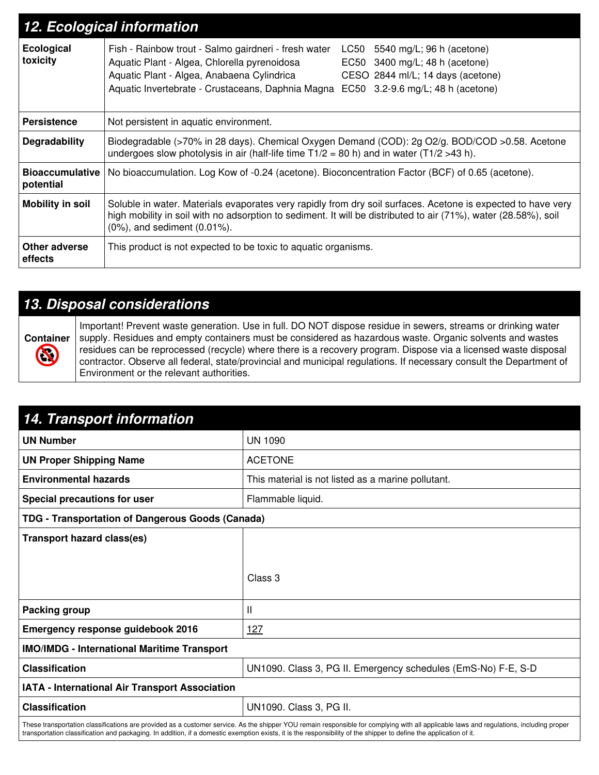| 12. Ecological information          |                                                                                                                                                                                                                                                                                                                                                                  |  |
|-------------------------------------|------------------------------------------------------------------------------------------------------------------------------------------------------------------------------------------------------------------------------------------------------------------------------------------------------------------------------------------------------------------|--|
| Ecological<br>toxicity              | Fish - Rainbow trout - Salmo gairdneri - fresh water<br>5540 mg/L; 96 h (acetone)<br>LC50<br>Aquatic Plant - Algea, Chlorella pyrenoidosa<br>EC50 $3400 \text{ mg/L}$ ; 48 h (acetone)<br>Aquatic Plant - Algea, Anabaena Cylindrica<br>CESO 2844 ml/L; 14 days (acetone)<br>Aquatic Invertebrate - Crustaceans, Daphnia Magna EC50 3.2-9.6 mg/L; 48 h (acetone) |  |
| <b>Persistence</b>                  | Not persistent in aquatic environment.                                                                                                                                                                                                                                                                                                                           |  |
| Degradability                       | Biodegradable (>70% in 28 days). Chemical Oxygen Demand (COD): 2g O2/g. BOD/COD >0.58. Acetone<br>undergoes slow photolysis in air (half-life time $T1/2 = 80$ h) and in water ( $T1/2 > 43$ h).                                                                                                                                                                 |  |
| <b>Bioaccumulative</b><br>potential | No bioaccumulation. Log Kow of -0.24 (acetone). Bioconcentration Factor (BCF) of 0.65 (acetone).                                                                                                                                                                                                                                                                 |  |
| <b>Mobility in soil</b>             | Soluble in water. Materials evaporates very rapidly from dry soil surfaces. Acetone is expected to have very<br>high mobility in soil with no adsorption to sediment. It will be distributed to air (71%), water (28.58%), soil<br>$(0\%)$ , and sediment $(0.01\%)$ .                                                                                           |  |
| Other adverse<br>effects            | This product is not expected to be toxic to aquatic organisms.                                                                                                                                                                                                                                                                                                   |  |

### *13. Disposal considerations*

**Container**  $\bigcirc$ 

Important! Prevent waste generation. Use in full. DO NOT dispose residue in sewers, streams or drinking water supply. Residues and empty containers must be considered as hazardous waste. Organic solvents and wastes residues can be reprocessed (recycle) where there is a recovery program. Dispose via a licensed waste disposal contractor. Observe all federal, state/provincial and municipal regulations. If necessary consult the Department of Environment or the relevant authorities.

| <b>14. Transport information</b>                                                                                                                                                                                                                                                                                                                              |                                                               |  |  |
|---------------------------------------------------------------------------------------------------------------------------------------------------------------------------------------------------------------------------------------------------------------------------------------------------------------------------------------------------------------|---------------------------------------------------------------|--|--|
| <b>UN Number</b>                                                                                                                                                                                                                                                                                                                                              | <b>UN 1090</b>                                                |  |  |
| <b>UN Proper Shipping Name</b>                                                                                                                                                                                                                                                                                                                                | <b>ACETONE</b>                                                |  |  |
| <b>Environmental hazards</b>                                                                                                                                                                                                                                                                                                                                  | This material is not listed as a marine pollutant.            |  |  |
| <b>Special precautions for user</b>                                                                                                                                                                                                                                                                                                                           | Flammable liquid.                                             |  |  |
| TDG - Transportation of Dangerous Goods (Canada)                                                                                                                                                                                                                                                                                                              |                                                               |  |  |
| <b>Transport hazard class(es)</b>                                                                                                                                                                                                                                                                                                                             |                                                               |  |  |
|                                                                                                                                                                                                                                                                                                                                                               |                                                               |  |  |
|                                                                                                                                                                                                                                                                                                                                                               | Class 3                                                       |  |  |
|                                                                                                                                                                                                                                                                                                                                                               |                                                               |  |  |
| Packing group                                                                                                                                                                                                                                                                                                                                                 | Ш                                                             |  |  |
| <b>Emergency response guidebook 2016</b>                                                                                                                                                                                                                                                                                                                      | <u>127</u>                                                    |  |  |
| <b>IMO/IMDG - International Maritime Transport</b>                                                                                                                                                                                                                                                                                                            |                                                               |  |  |
| <b>Classification</b>                                                                                                                                                                                                                                                                                                                                         | UN1090. Class 3, PG II. Emergency schedules (EmS-No) F-E, S-D |  |  |
| IATA - International Air Transport Association                                                                                                                                                                                                                                                                                                                |                                                               |  |  |
| <b>Classification</b>                                                                                                                                                                                                                                                                                                                                         | UN1090. Class 3, PG II.                                       |  |  |
| These transportation classifications are provided as a customer service. As the shipper YOU remain responsible for complying with all applicable laws and regulations, including proper<br>transportation classification and packaging. In addition, if a domestic exemption exists, it is the responsibility of the shipper to define the application of it. |                                                               |  |  |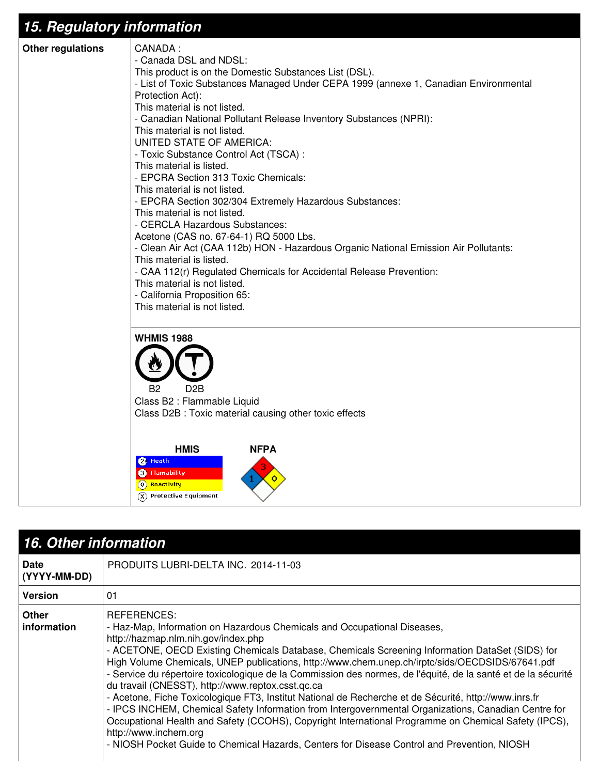## *15. Regulatory information*



| <b>16. Other information</b> |                                                                                                                                                                                                                                                                                                                                                                                                                                                                                                                                                                                                                                                                                                                                                                                                                                                                                                                                                             |  |
|------------------------------|-------------------------------------------------------------------------------------------------------------------------------------------------------------------------------------------------------------------------------------------------------------------------------------------------------------------------------------------------------------------------------------------------------------------------------------------------------------------------------------------------------------------------------------------------------------------------------------------------------------------------------------------------------------------------------------------------------------------------------------------------------------------------------------------------------------------------------------------------------------------------------------------------------------------------------------------------------------|--|
| Date<br>(YYYY-MM-DD)         | PRODUITS LUBRI-DELTA INC. 2014-11-03                                                                                                                                                                                                                                                                                                                                                                                                                                                                                                                                                                                                                                                                                                                                                                                                                                                                                                                        |  |
| <b>Version</b>               | 01                                                                                                                                                                                                                                                                                                                                                                                                                                                                                                                                                                                                                                                                                                                                                                                                                                                                                                                                                          |  |
| <b>Other</b><br>information  | REFERENCES:<br>- Haz-Map, Information on Hazardous Chemicals and Occupational Diseases,<br>http://hazmap.nlm.nih.gov/index.php<br>- ACETONE, OECD Existing Chemicals Database, Chemicals Screening Information DataSet (SIDS) for<br>High Volume Chemicals, UNEP publications, http://www.chem.unep.ch/irptc/sids/OECDSIDS/67641.pdf<br>- Service du répertoire toxicologique de la Commission des normes, de l'équité, de la santé et de la sécurité<br>du travail (CNESST), http://www.reptox.csst.qc.ca<br>- Acetone, Fiche Toxicologique FT3, Institut National de Recherche et de Sécurité, http://www.inrs.fr<br>- IPCS INCHEM, Chemical Safety Information from Intergovernmental Organizations, Canadian Centre for<br>Occupational Health and Safety (CCOHS), Copyright International Programme on Chemical Safety (IPCS),<br>http://www.inchem.org<br>- NIOSH Pocket Guide to Chemical Hazards, Centers for Disease Control and Prevention, NIOSH |  |